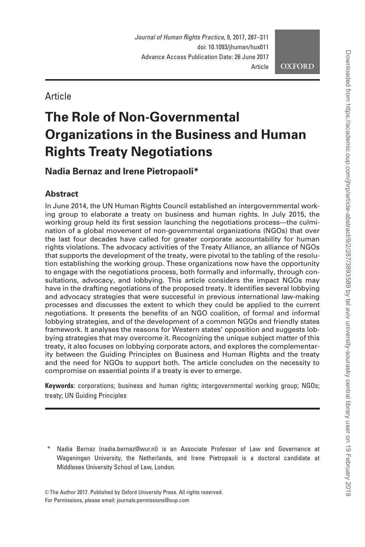Journal of Human Rights Practice, 9, 2017, 287–311 doi: 10.1093/jhuman/hux011 Advance Access Publication Date: 26 June 2017 Article

**OXFORD** 

**Article** 

# The Role of Non-Governmental Organizations in the Business and Human Rights Treaty Negotiations

# Nadia Bernaz and Irene Pietropaoli\*

# **Abstract**

In June 2014, the UN Human Rights Council established an intergovernmental working group to elaborate a treaty on business and human rights. In July 2015, the working group held its first session launching the negotiations process—the culmination of a global movement of non-governmental organizations (NGOs) that over the last four decades have called for greater corporate accountability for human rights violations. The advocacy activities of the Treaty Alliance, an alliance of NGOs that supports the development of the treaty, were pivotal to the tabling of the resolution establishing the working group. These organizations now have the opportunity to engage with the negotiations process, both formally and informally, through consultations, advocacy, and lobbying. This article considers the impact NGOs may have in the drafting negotiations of the proposed treaty. It identifies several lobbying and advocacy strategies that were successful in previous international law-making processes and discusses the extent to which they could be applied to the current negotiations. It presents the benefits of an NGO coalition, of formal and informal lobbying strategies, and of the development of a common NGOs and friendly states framework. It analyses the reasons for Western states' opposition and suggests lobbying strategies that may overcome it. Recognizing the unique subject matter of this treaty, it also focuses on lobbying corporate actors, and explores the complementarity between the Guiding Principles on Business and Human Rights and the treaty and the need for NGOs to support both. The article concludes on the necessity to compromise on essential points if a treaty is ever to emerge.

Keywords: corporations; business and human rights; intergovernmental working group; NGOs; treaty; UN Guiding Principles

Nadia Bernaz (nadia.bernaz@wur.nl) is an Associate Professor of Law and Governance at Wageningen University, the Netherlands, and Irene Pietropaoli is a doctoral candidate at Middlesex University School of Law, London.

© The Author 2017. Published by Oxford University Press. All rights reserved. For Permissions, please email: journals.permissions@oup.com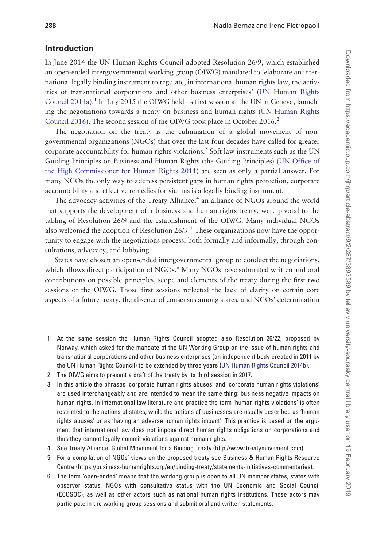#### Introduction

In June 2014 the UN Human Rights Council adopted Resolution 26/9, which established an open-ended intergovernmental working group (OIWG) mandated to 'elaborate an international legally binding instrument to regulate, in international human rights law, the activities of transnational corporations and other business enterprises' [\(UN Human Rights](#page-23-0) Council  $2014a$ ).<sup>1</sup> In July 2015 the OIWG held its first session at the UN in Geneva, launching the negotiations towards a treaty on business and human rights [\(UN Human Rights](#page-23-0) [Council 2016](#page-23-0)). The second session of the OIWG took place in October 2016.<sup>2</sup>

The negotiation on the treaty is the culmination of a global movement of nongovernmental organizations (NGOs) that over the last four decades have called for greater corporate accountability for human rights violations.<sup>3</sup> Soft law instruments such as the UN Guiding Principles on Business and Human Rights (the Guiding Principles) [\(UN Office of](#page-23-0) [the High Commissioner for Human Rights 2011](#page-23-0)) are seen as only a partial answer. For many NGOs the only way to address persistent gaps in human rights protection, corporate accountability and effective remedies for victims is a legally binding instrument.

The advocacy activities of the Treaty Alliance, $4$  an alliance of NGOs around the world that supports the development of a business and human rights treaty, were pivotal to the tabling of Resolution 26/9 and the establishment of the OIWG. Many individual NGOs also welcomed the adoption of Resolution  $26/9$ .<sup>5</sup> These organizations now have the opportunity to engage with the negotiations process, both formally and informally, through consultations, advocacy, and lobbying.

States have chosen an open-ended intergovernmental group to conduct the negotiations, which allows direct participation of NGOs.<sup>6</sup> Many NGOs have submitted written and oral contributions on possible principles, scope and elements of the treaty during the first two sessions of the OIWG. Those first sessions reflected the lack of clarity on certain core aspects of a future treaty, the absence of consensus among states, and NGOs' determination

- 1 At the same session the Human Rights Council adopted also Resolution 26/22, proposed by Norway, which asked for the mandate of the UN Working Group on the issue of human rights and transnational corporations and other business enterprises (an independent body created in 2011 by the UN Human Rights Council) to be extended by three years [\(UN Human Rights Council 2014b\).](#page-23-0)
- 2 The OIWG aims to present a draft of the treaty by its third session in 2017.
- 3 In this article the phrases 'corporate human rights abuses' and 'corporate human rights violations' are used interchangeably and are intended to mean the same thing: business negative impacts on human rights. In international law literature and practice the term 'human rights violations' is often restricted to the actions of states, while the actions of businesses are usually described as 'human rights abuses' or as 'having an adverse human rights impact'. This practice is based on the argument that international law does not impose direct human rights obligations on corporations and thus they cannot legally commit violations against human rights.
- 4 See Treaty Alliance, Global Movement for a Binding Treaty ([http://www.treatymovement.com\)](http://www.treatymovement.com).
- 5 For a compilation of NGOs' views on the proposed treaty see Business & Human Rights Resource Centre ([https://business-humanrights.org/en/binding-treaty/statements-initiatives-commentaries\)](https://business-humanrights.org/en/binding-treaty/statements-initiatives-commentaries).
- 6 The term 'open-ended' means that the working group is open to all UN member states, states with observer status, NGOs with consultative status with the UN Economic and Social Council (ECOSOC), as well as other actors such as national human rights institutions. These actors may participate in the working group sessions and submit oral and written statements.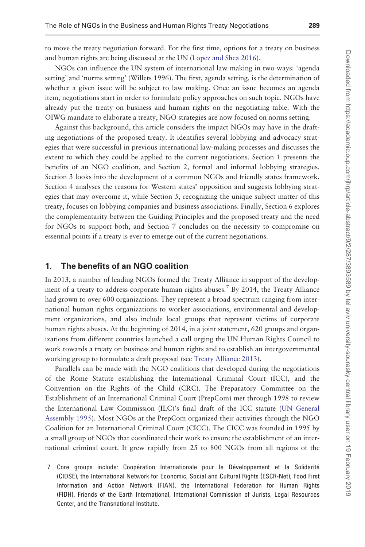to move the treaty negotiation forward. For the first time, options for a treaty on business and human rights are being discussed at the UN [\(Lopez and Shea 2016\)](#page-20-0).

NGOs can influence the UN system of international law making in two ways: 'agenda setting' and 'norms setting' (Willets 1996). The first, agenda setting, is the determination of whether a given issue will be subject to law making. Once an issue becomes an agenda item, negotiations start in order to formulate policy approaches on such topic. NGOs have already put the treaty on business and human rights on the negotiating table. With the OIWG mandate to elaborate a treaty, NGO strategies are now focused on norms setting.

Against this background, this article considers the impact NGOs may have in the drafting negotiations of the proposed treaty. It identifies several lobbying and advocacy strategies that were successful in previous international law-making processes and discusses the extent to which they could be applied to the current negotiations. Section 1 presents the benefits of an NGO coalition, and Section 2, formal and informal lobbying strategies. Section 3 looks into the development of a common NGOs and friendly states framework. Section 4 analyses the reasons for Western states' opposition and suggests lobbying strategies that may overcome it, while Section 5, recognizing the unique subject matter of this treaty, focuses on lobbying companies and business associations. Finally, Section 6 explores the complementarity between the Guiding Principles and the proposed treaty and the need for NGOs to support both, and Section 7 concludes on the necessity to compromise on essential points if a treaty is ever to emerge out of the current negotiations.

# 1. The benefits of an NGO coalition

In 2013, a number of leading NGOs formed the Treaty Alliance in support of the development of a treaty to address corporate human rights abuses.<sup>7</sup> By 2014, the Treaty Alliance had grown to over 600 organizations. They represent a broad spectrum ranging from international human rights organizations to worker associations, environmental and development organizations, and also include local groups that represent victims of corporate human rights abuses. At the beginning of 2014, in a joint statement, 620 groups and organizations from different countries launched a call urging the UN Human Rights Council to work towards a treaty on business and human rights and to establish an intergovernmental working group to formulate a draft proposal (see [Treaty Alliance 2013\)](#page-21-0).

Parallels can be made with the NGO coalitions that developed during the negotiations of the Rome Statute establishing the International Criminal Court (ICC), and the Convention on the Rights of the Child (CRC). The Preparatory Committee on the Establishment of an International Criminal Court (PrepCom) met through 1998 to review the International Law Commission (ILC)'s final draft of the ICC statute ([UN General](#page-22-0) [Assembly 1995\)](#page-22-0). Most NGOs at the PrepCom organized their activities through the NGO Coalition for an International Criminal Court (CICC). The CICC was founded in 1995 by a small group of NGOs that coordinated their work to ensure the establishment of an international criminal court. It grew rapidly from 25 to 800 NGOs from all regions of the

<sup>7</sup> Core groups include: Coopération Internationale pour le Développement et la Solidarité (CIDSE), the International Network for Economic, Social and Cultural Rights (ESCR-Net), Food First Information and Action Network (FIAN), the International Federation for Human Rights (FIDH), Friends of the Earth International, International Commission of Jurists, Legal Resources Center, and the Transnational Institute.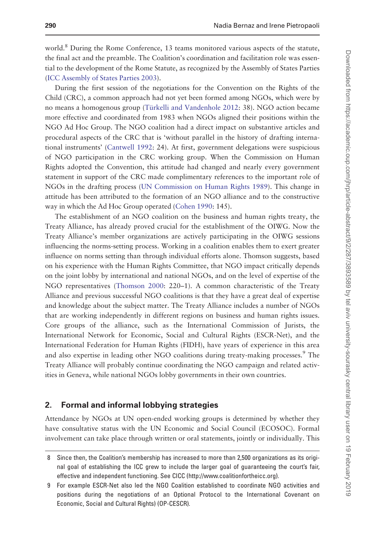world.<sup>8</sup> During the Rome Conference, 13 teams monitored various aspects of the statute, the final act and the preamble. The Coalition's coordination and facilitation role was essential to the development of the Rome Statute, as recognized by the Assembly of States Parties [\(ICC Assembly of States Parties 2003](#page-20-0)).

During the first session of the negotiations for the Convention on the Rights of the Child (CRC), a common approach had not yet been formed among NGOs, which were by no means a homogenous group (Türkelli and Vandenhole 2012: 38). NGO action became more effective and coordinated from 1983 when NGOs aligned their positions within the NGO Ad Hoc Group. The NGO coalition had a direct impact on substantive articles and procedural aspects of the CRC that is 'without parallel in the history of drafting international instruments' ([Cantwell 1992:](#page-19-0) 24). At first, government delegations were suspicious of NGO participation in the CRC working group. When the Commission on Human Rights adopted the Convention, this attitude had changed and nearly every government statement in support of the CRC made complimentary references to the important role of NGOs in the drafting process [\(UN Commission on Human Rights 1989\)](#page-22-0). This change in attitude has been attributed to the formation of an NGO alliance and to the constructive way in which the Ad Hoc Group operated ([Cohen 1990](#page-19-0): 145).

The establishment of an NGO coalition on the business and human rights treaty, the Treaty Alliance, has already proved crucial for the establishment of the OIWG. Now the Treaty Alliance's member organizations are actively participating in the OIWG sessions influencing the norms-setting process. Working in a coalition enables them to exert greater influence on norms setting than through individual efforts alone. Thomson suggests, based on his experience with the Human Rights Committee, that NGO impact critically depends on the joint lobby by international and national NGOs, and on the level of expertise of the NGO representatives ([Thomson 2000](#page-21-0): 220–1). A common characteristic of the Treaty Alliance and previous successful NGO coalitions is that they have a great deal of expertise and knowledge about the subject matter. The Treaty Alliance includes a number of NGOs that are working independently in different regions on business and human rights issues. Core groups of the alliance, such as the International Commission of Jurists, the International Network for Economic, Social and Cultural Rights (ESCR-Net), and the International Federation for Human Rights (FIDH), have years of experience in this area and also expertise in leading other NGO coalitions during treaty-making processes.<sup>9</sup> The Treaty Alliance will probably continue coordinating the NGO campaign and related activities in Geneva, while national NGOs lobby governments in their own countries.

# 2. Formal and informal lobbying strategies

Attendance by NGOs at UN open-ended working groups is determined by whether they have consultative status with the UN Economic and Social Council (ECOSOC). Formal involvement can take place through written or oral statements, jointly or individually. This

<sup>8</sup> Since then, the Coalition's membership has increased to more than 2,500 organizations as its original goal of establishing the ICC grew to include the larger goal of guaranteeing the court's fair, effective and independent functioning. See CICC ([http://www.coalitionfortheicc.org\)](http://www.coalitionfortheicc.org).

<sup>9</sup> For example ESCR-Net also led the NGO Coalition established to coordinate NGO activities and positions during the negotiations of an Optional Protocol to the International Covenant on Economic, Social and Cultural Rights) (OP-CESCR).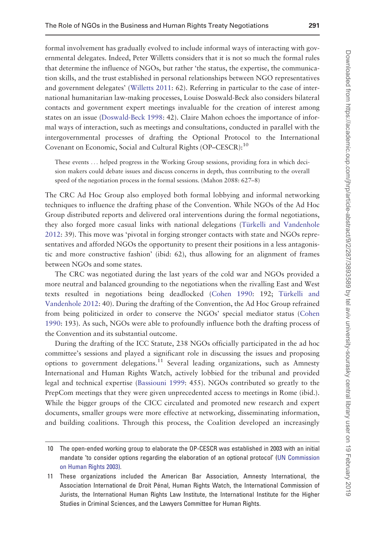formal involvement has gradually evolved to include informal ways of interacting with governmental delegates. Indeed, Peter Willetts considers that it is not so much the formal rules that determine the influence of NGOs, but rather 'the status, the expertise, the communication skills, and the trust established in personal relationships between NGO representatives and government delegates' [\(Willetts 2011:](#page-23-0) 62). Referring in particular to the case of international humanitarian law-making processes, Louise Doswald-Beck also considers bilateral contacts and government expert meetings invaluable for the creation of interest among states on an issue [\(Doswald-Beck 1998](#page-19-0): 42). Claire Mahon echoes the importance of informal ways of interaction, such as meetings and consultations, conducted in parallel with the intergovernmental processes of drafting the Optional Protocol to the International Covenant on Economic, Social and Cultural Rights (OP–CESCR):<sup>10</sup>

These events ... helped progress in the Working Group sessions, providing fora in which decision makers could debate issues and discuss concerns in depth, thus contributing to the overall speed of the negotiation process in the formal sessions. (Mahon 2088: 627–8)

The CRC Ad Hoc Group also employed both formal lobbying and informal networking techniques to influence the drafting phase of the Convention. While NGOs of the Ad Hoc Group distributed reports and delivered oral interventions during the formal negotiations, they also forged more casual links with national delegations (Türkelli and Vandenhole [2012](#page-21-0): 39). This move was 'pivotal in forging stronger contacts with state and NGOs representatives and afforded NGOs the opportunity to present their positions in a less antagonistic and more constructive fashion' (ibid: 62), thus allowing for an alignment of frames between NGOs and some states.

The CRC was negotiated during the last years of the cold war and NGOs provided a more neutral and balanced grounding to the negotiations when the rivalling East and West texts resulted in negotiations being deadlocked ([Cohen 1990:](#page-19-0) 192; Türkelli and [Vandenhole 2012](#page-21-0): 40). During the drafting of the Convention, the Ad Hoc Group refrained from being politicized in order to conserve the NGOs' special mediator status ([Cohen](#page-19-0) [1990](#page-19-0): 193). As such, NGOs were able to profoundly influence both the drafting process of the Convention and its substantial outcome.

During the drafting of the ICC Statute, 238 NGOs officially participated in the ad hoc committee's sessions and played a significant role in discussing the issues and proposing options to government delegations.<sup>11</sup> Several leading organizations, such as Amnesty International and Human Rights Watch, actively lobbied for the tribunal and provided legal and technical expertise ([Bassiouni 1999:](#page-18-0) 455). NGOs contributed so greatly to the PrepCom meetings that they were given unprecedented access to meetings in Rome (ibid.). While the bigger groups of the CICC circulated and promoted new research and expert documents, smaller groups were more effective at networking, disseminating information, and building coalitions. Through this process, the Coalition developed an increasingly

<sup>10</sup> The open-ended working group to elaborate the OP-CESCR was established in 2003 with an initial mandate 'to consider options regarding the elaboration of an optional protocol' [\(UN Commission](#page-22-0) [on Human Rights 2003\).](#page-22-0)

<sup>11</sup> These organizations included the American Bar Association, Amnesty International, the Association International de Droit Pénal, Human Rights Watch, the International Commission of Jurists, the International Human Rights Law Institute, the International Institute for the Higher Studies in Criminal Sciences, and the Lawyers Committee for Human Rights.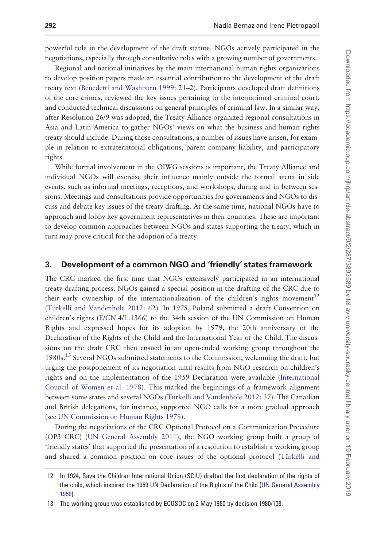powerful role in the development of the draft statute. NGOs actively participated in the negotiations, especially through consultative roles with a growing number of governments.

Regional and national initiatives by the main international human rights organizations to develop position papers made an essential contribution to the development of the draft treaty text [\(Benedetti and Washburn 1999](#page-18-0): 21–2). Participants developed draft definitions of the core crimes, reviewed the key issues pertaining to the international criminal court, and conducted technical discussions on general principles of criminal law. In a similar way, after Resolution 26/9 was adopted, the Treaty Alliance organized regional consultations in Asia and Latin America to gather NGOs' views on what the business and human rights treaty should include. During those consultations, a number of issues have arisen, for example in relation to extraterritorial obligations, parent company liability, and participatory rights.

While formal involvement in the OIWG sessions is important, the Treaty Alliance and individual NGOs will exercise their influence mainly outside the formal arena in side events, such as informal meetings, receptions, and workshops, during and in between sessions. Meetings and consultations provide opportunities for governments and NGOs to discuss and debate key issues of the treaty drafting. At the same time, national NGOs have to approach and lobby key government representatives in their countries. These are important to develop common approaches between NGOs and states supporting the treaty, which in turn may prove critical for the adoption of a treaty.

## 3. Development of a common NGO and 'friendly' states framework

The CRC marked the first time that NGOs extensively participated in an international treaty-drafting process. NGOs gained a special position in the drafting of the CRC due to their early ownership of the internationalization of the children's rights movement<sup>12</sup> (Türkelli and Vandenhole 2012: 62). In 1978, Poland submitted a draft Convention on children's rights (E/CN.4/L.1366) to the 34th session of the UN Commission on Human Rights and expressed hopes for its adoption by 1979, the 20th anniversary of the Declaration of the Rights of the Child and the International Year of the Child. The discussions on the draft CRC then ensued in an open-ended working group throughout the 1980s.<sup>13</sup> Several NGOs submitted statements to the Commission, welcoming the draft, but urging the postponement of its negotiation until results from NGO research on children's rights and on the implementation of the 1959 Declaration were available ([International](#page-20-0) [Council of Women et al. 1978\)](#page-20-0). This marked the beginnings of a framework alignment between some states and several NGOs (Türkelli and Vandenhole 2012: 37). The Canadian and British delegations, for instance, supported NGO calls for a more gradual approach (see [UN Commission on Human Rights 1978](#page-22-0)).

During the negotiations of the CRC Optional Protocol on a Communication Procedure (OP3 CRC) [\(UN General Assembly 2011](#page-23-0)), the NGO working group built a group of 'friendly states' that supported the presentation of a resolution to establish a working group and shared a common position on core issues of the optional protocol (Türkelli and

<sup>12</sup> In 1924, Save the Children International Union (SCIU) drafted the first declaration of the rights of the child, which inspired the 1959 UN Declaration of the Rights of the Child ([UN General Assembly](#page-22-0) [1959\)](#page-22-0).

<sup>13</sup> The working group was established by ECOSOC on 2 May 1980 by decision 1980/138.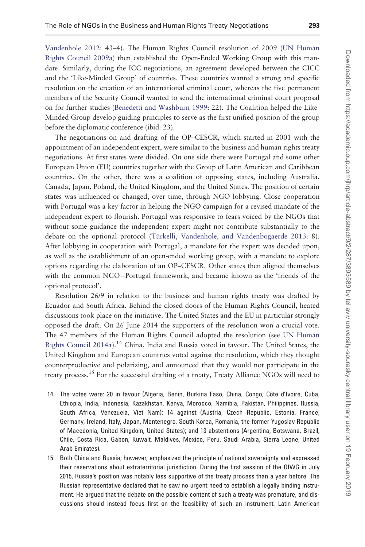[Vandenhole 2012](#page-21-0): 43–4). The Human Rights Council resolution of 2009 ([UN Human](#page-23-0) [Rights Council 2009a\)](#page-23-0) then established the Open-Ended Working Group with this mandate. Similarly, during the ICC negotiations, an agreement developed between the CICC and the 'Like-Minded Group' of countries. These countries wanted a strong and specific resolution on the creation of an international criminal court, whereas the five permanent members of the Security Council wanted to send the international criminal court proposal on for further studies ([Benedetti and Washburn 1999](#page-18-0): 22). The Coalition helped the Like-Minded Group develop guiding principles to serve as the first unified position of the group before the diplomatic conference (ibid: 23).

The negotiations on and drafting of the OP–CESCR, which started in 2001 with the appointment of an independent expert, were similar to the business and human rights treaty negotiations. At first states were divided. On one side there were Portugal and some other European Union (EU) countries together with the Group of Latin American and Caribbean countries. On the other, there was a coalition of opposing states, including Australia, Canada, Japan, Poland, the United Kingdom, and the United States. The position of certain states was influenced or changed, over time, through NGO lobbying. Close cooperation with Portugal was a key factor in helping the NGO campaign for a revised mandate of the independent expert to flourish. Portugal was responsive to fears voiced by the NGOs that without some guidance the independent expert might not contribute substantially to the debate on the optional protocol (Türkelli, Vandenhole, and Vandenbogaerde 2013: 8). After lobbying in cooperation with Portugal, a mandate for the expert was decided upon, as well as the establishment of an open-ended working group, with a mandate to explore options regarding the elaboration of an OP–CESCR. Other states then aligned themselves with the common NGO-Portugal framework, and became known as the 'friends of the optional protocol'.

Resolution 26/9 in relation to the business and human rights treaty was drafted by Ecuador and South Africa. Behind the closed doors of the Human Rights Council, heated discussions took place on the initiative. The United States and the EU in particular strongly opposed the draft. On 26 June 2014 the supporters of the resolution won a crucial vote. The 47 members of the Human Rights Council adopted the resolution (see [UN Human](#page-23-0) [Rights Council 2014a\)](#page-23-0).<sup>14</sup> China, India and Russia voted in favour. The United States, the United Kingdom and European countries voted against the resolution, which they thought counterproductive and polarizing, and announced that they would not participate in the treaty process.<sup>15</sup> For the successful drafting of a treaty, Treaty Alliance NGOs will need to

- 14 The votes were: 20 in favour (Algeria, Benin, Burkina Faso, China, Congo, Côte d'Ivoire, Cuba, Ethiopia, India, Indonesia, Kazakhstan, Kenya, Morocco, Namibia, Pakistan, Philippines, Russia, South Africa, Venezuela, Viet Nam); 14 against (Austria, Czech Republic, Estonia, France, Germany, Ireland, Italy, Japan, Montenegro, South Korea, Romania, the former Yugoslav Republic of Macedonia, United Kingdom, United States); and 13 abstentions (Argentina, Botswana, Brazil, Chile, Costa Rica, Gabon, Kuwait, Maldives, Mexico, Peru, Saudi Arabia, Sierra Leone, United Arab Emirates).
- 15 Both China and Russia, however, emphasized the principle of national sovereignty and expressed their reservations about extraterritorial jurisdiction. During the first session of the OIWG in July 2015, Russia's position was notably less supportive of the treaty process than a year before. The Russian representative declared that he saw no urgent need to establish a legally binding instrument. He argued that the debate on the possible content of such a treaty was premature, and discussions should instead focus first on the feasibility of such an instrument. Latin American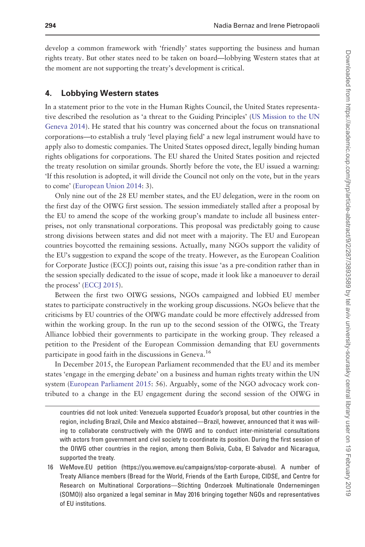develop a common framework with 'friendly' states supporting the business and human rights treaty. But other states need to be taken on board—lobbying Western states that at the moment are not supporting the treaty's development is critical.

# 4. Lobbying Western states

In a statement prior to the vote in the Human Rights Council, the United States representative described the resolution as 'a threat to the Guiding Principles' [\(US Mission to the UN](#page-23-0) [Geneva 2014\)](#page-23-0). He stated that his country was concerned about the focus on transnational corporations—to establish a truly 'level playing field' a new legal instrument would have to apply also to domestic companies. The United States opposed direct, legally binding human rights obligations for corporations. The EU shared the United States position and rejected the treaty resolution on similar grounds. Shortly before the vote, the EU issued a warning: 'If this resolution is adopted, it will divide the Council not only on the vote, but in the years to come' ([European Union 2014:](#page-19-0) 3).

Only nine out of the 28 EU member states, and the EU delegation, were in the room on the first day of the OIWG first session. The session immediately stalled after a proposal by the EU to amend the scope of the working group's mandate to include all business enterprises, not only transnational corporations. This proposal was predictably going to cause strong divisions between states and did not meet with a majority. The EU and European countries boycotted the remaining sessions. Actually, many NGOs support the validity of the EU's suggestion to expand the scope of the treaty. However, as the European Coalition for Corporate Justice (ECCJ) points out, raising this issue 'as a pre-condition rather than in the session specially dedicated to the issue of scope, made it look like a manoeuver to derail the process' [\(ECCJ 2015\)](#page-19-0).

Between the first two OIWG sessions, NGOs campaigned and lobbied EU member states to participate constructively in the working group discussions. NGOs believe that the criticisms by EU countries of the OIWG mandate could be more effectively addressed from within the working group. In the run up to the second session of the OIWG, the Treaty Alliance lobbied their governments to participate in the working group. They released a petition to the President of the European Commission demanding that EU governments participate in good faith in the discussions in Geneva.<sup>16</sup>

In December 2015, the European Parliament recommended that the EU and its member states 'engage in the emerging debate' on a business and human rights treaty within the UN system ([European Parliament 2015](#page-19-0): 56). Arguably, some of the NGO advocacy work contributed to a change in the EU engagement during the second session of the OIWG in

16 WeMove.EU petition (<https://you.wemove.eu/campaigns/stop-corporate-abuse>). A number of Treaty Alliance members (Bread for the World, Friends of the Earth Europe, CIDSE, and Centre for Research on Multinational Corporations—Stichting Onderzoek Multinationale Ondernemingen (SOMO)) also organized a legal seminar in May 2016 bringing together NGOs and representatives of EU institutions.

countries did not look united: Venezuela supported Ecuador's proposal, but other countries in the region, including Brazil, Chile and Mexico abstained—Brazil, however, announced that it was willing to collaborate constructively with the OIWG and to conduct inter-ministerial consultations with actors from government and civil society to coordinate its position. During the first session of the OIWG other countries in the region, among them Bolivia, Cuba, El Salvador and Nicaragua, supported the treaty.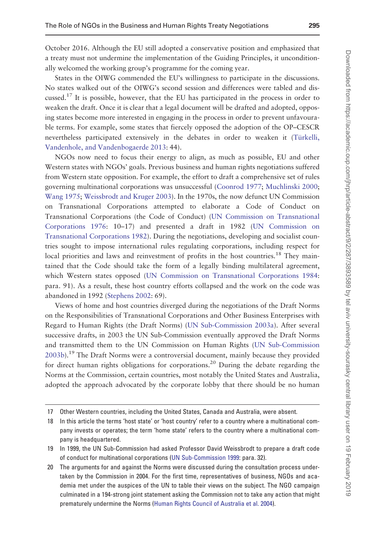October 2016. Although the EU still adopted a conservative position and emphasized that a treaty must not undermine the implementation of the Guiding Principles, it unconditionally welcomed the working group's programme for the coming year.

States in the OIWG commended the EU's willingness to participate in the discussions. No states walked out of the OIWG's second session and differences were tabled and discussed.<sup>17</sup> It is possible, however, that the EU has participated in the process in order to weaken the draft. Once it is clear that a legal document will be drafted and adopted, opposing states become more interested in engaging in the process in order to prevent unfavourable terms. For example, some states that fiercely opposed the adoption of the OP–CESCR nevertheless participated extensively in the debates in order to weaken it (Türkelli, [Vandenhole, and Vandenbogaerde 2013](#page-22-0): 44).

NGOs now need to focus their energy to align, as much as possible, EU and other Western states with NGOs' goals. Previous business and human rights negotiations suffered from Western state opposition. For example, the effort to draft a comprehensive set of rules governing multinational corporations was unsuccessful ([Coonrod 1977](#page-19-0); [Muchlinski 2000](#page-21-0); [Wang 1975](#page-23-0); [Weissbrodt and Kruger 2003\)](#page-23-0). In the 1970s, the now defunct UN Commission on Transnational Corporations attempted to elaborate a Code of Conduct on Transnational Corporations (the Code of Conduct) [\(UN Commission on Transnational](#page-22-0) [Corporations 1976:](#page-22-0) 10–17) and presented a draft in 1982 ([UN Commission on](#page-22-0) [Transnational Corporations 1982](#page-22-0)). During the negotiations, developing and socialist countries sought to impose international rules regulating corporations, including respect for local priorities and laws and reinvestment of profits in the host countries.<sup>18</sup> They maintained that the Code should take the form of a legally binding multilateral agreement, which Western states opposed [\(UN Commission on Transnational Corporations 1984](#page-22-0): para. 91). As a result, these host country efforts collapsed and the work on the code was abandoned in 1992 [\(Stephens 2002](#page-21-0): 69).

Views of home and host countries diverged during the negotiations of the Draft Norms on the Responsibilities of Transnational Corporations and Other Business Enterprises with Regard to Human Rights (the Draft Norms) [\(UN Sub-Commission 2003a](#page-23-0)). After several successive drafts, in 2003 the UN Sub-Commission eventually approved the Draft Norms and transmitted them to the UN Commission on Human Rights [\(UN Sub-Commission](#page-23-0) [2003b](#page-23-0)).<sup>19</sup> The Draft Norms were a controversial document, mainly because they provided for direct human rights obligations for corporations.<sup>20</sup> During the debate regarding the Norms at the Commission, certain countries, most notably the United States and Australia, adopted the approach advocated by the corporate lobby that there should be no human

<sup>17</sup> Other Western countries, including the United States, Canada and Australia, were absent.

<sup>18</sup> In this article the terms 'host state' or 'host country' refer to a country where a multinational company invests or operates; the term 'home state' refers to the country where a multinational company is headquartered.

<sup>19</sup> In 1999, the UN Sub-Commission had asked Professor David Weissbrodt to prepare a draft code of conduct for multinational corporations [\(UN Sub-Commission 1999](#page-23-0): para. 32).

<sup>20</sup> The arguments for and against the Norms were discussed during the consultation process undertaken by the Commission in 2004. For the first time, representatives of business, NGOs and academia met under the auspices of the UN to table their views on the subject. The NGO campaign culminated in a 194-strong joint statement asking the Commission not to take any action that might prematurely undermine the Norms ([Human Rights Council of Australia et al. 2004](#page-19-0)).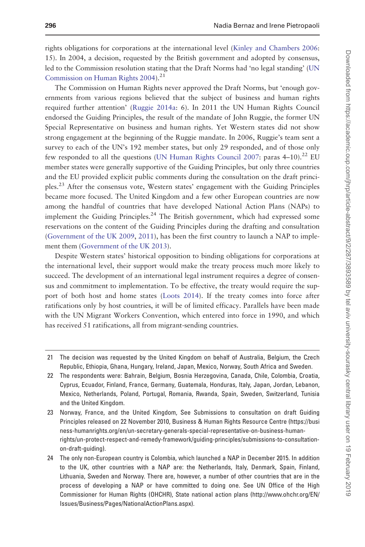rights obligations for corporations at the international level ([Kinley and Chambers 2006](#page-20-0): 15). In 2004, a decision, requested by the British government and adopted by consensus, led to the Commission resolution stating that the Draft Norms had 'no legal standing' [\(UN](#page-22-0) [Commission on Human Rights 2004](#page-22-0)).<sup>21</sup>

The Commission on Human Rights never approved the Draft Norms, but 'enough governments from various regions believed that the subject of business and human rights required further attention' ([Ruggie 2014a](#page-21-0): 6). In 2011 the UN Human Rights Council endorsed the Guiding Principles, the result of the mandate of John Ruggie, the former UN Special Representative on business and human rights. Yet Western states did not show strong engagement at the beginning of the Ruggie mandate. In 2006, Ruggie's team sent a survey to each of the UN's 192 member states, but only 29 responded, and of those only few responded to all the questions [\(UN Human Rights Council 2007](#page-23-0): paras  $4-10$ ).<sup>22</sup> EU member states were generally supportive of the Guiding Principles, but only three countries and the EU provided explicit public comments during the consultation on the draft principles.<sup>23</sup> After the consensus vote, Western states' engagement with the Guiding Principles became more focused. The United Kingdom and a few other European countries are now among the handful of countries that have developed National Action Plans (NAPs) to implement the Guiding Principles.<sup>24</sup> The British government, which had expressed some reservations on the content of the Guiding Principles during the drafting and consultation [\(Government of the UK 2009](#page-19-0), [2011\)](#page-19-0), has been the first country to launch a NAP to implement them ([Government of the UK 2013\)](#page-19-0).

Despite Western states' historical opposition to binding obligations for corporations at the international level, their support would make the treaty process much more likely to succeed. The development of an international legal instrument requires a degree of consensus and commitment to implementation. To be effective, the treaty would require the support of both host and home states [\(Loots 2014](#page-20-0)). If the treaty comes into force after ratifications only by host countries, it will be of limited efficacy. Parallels have been made with the UN Migrant Workers Convention, which entered into force in 1990, and which has received 51 ratifications, all from migrant-sending countries.

<sup>21</sup> The decision was requested by the United Kingdom on behalf of Australia, Belgium, the Czech Republic, Ethiopia, Ghana, Hungary, Ireland, Japan, Mexico, Norway, South Africa and Sweden.

<sup>22</sup> The respondents were: Bahrain, Belgium, Bosnia Herzegovina, Canada, Chile, Colombia, Croatia, Cyprus, Ecuador, Finland, France, Germany, Guatemala, Honduras, Italy, Japan, Jordan, Lebanon, Mexico, Netherlands, Poland, Portugal, Romania, Rwanda, Spain, Sweden, Switzerland, Tunisia and the United Kingdom.

<sup>23</sup> Norway, France, and the United Kingdom, See Submissions to consultation on draft Guiding Principles released on 22 November 2010, Business & Human Rights Resource Centre [\(https://busi](https://business-humanrights.org/en/un-secretary-generals-special-representative-on-business-human-rights/un-protect-respect-and-remedy-framework/guiding-principles/submissions-to-consultation-on-draft-guiding) [ness-humanrights.org/en/un-secretary-generals-special-representative-on-business-human](https://business-humanrights.org/en/un-secretary-generals-special-representative-on-business-human-rights/un-protect-respect-and-remedy-framework/guiding-principles/submissions-to-consultation-on-draft-guiding)[rights/un-protect-respect-and-remedy-framework/guiding-principles/submissions-to-consultation](https://business-humanrights.org/en/un-secretary-generals-special-representative-on-business-human-rights/un-protect-respect-and-remedy-framework/guiding-principles/submissions-to-consultation-on-draft-guiding)[on-draft-guiding](https://business-humanrights.org/en/un-secretary-generals-special-representative-on-business-human-rights/un-protect-respect-and-remedy-framework/guiding-principles/submissions-to-consultation-on-draft-guiding)).

<sup>24</sup> The only non-European country is Colombia, which launched a NAP in December 2015. In addition to the UK, other countries with a NAP are: the Netherlands, Italy, Denmark, Spain, Finland, Lithuania, Sweden and Norway. There are, however, a number of other countries that are in the process of developing a NAP or have committed to doing one. See UN Office of the High Commissioner for Human Rights (OHCHR), State national action plans ([http://www.ohchr.org/EN/](http://www.ohchr.org/EN/Issues/Business/Pages/NationalActionPlans.aspx) [Issues/Business/Pages/NationalActionPlans.aspx\)](http://www.ohchr.org/EN/Issues/Business/Pages/NationalActionPlans.aspx).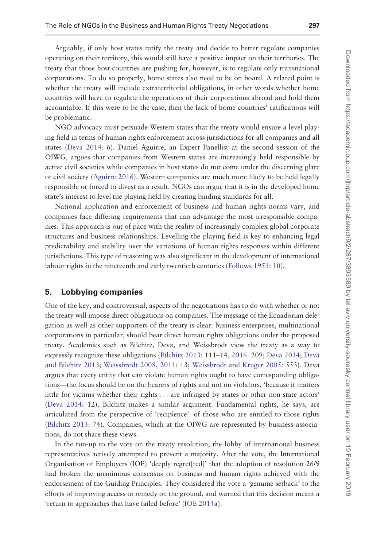Arguably, if only host states ratify the treaty and decide to better regulate companies operating on their territory, this would still have a positive impact on their territories. The treaty that those host countries are pushing for, however, is to regulate only transnational corporations. To do so properly, home states also need to be on board. A related point is whether the treaty will include extraterritorial obligations, in other words whether home countries will have to regulate the operations of their corporations abroad and hold them accountable. If this were to be the case, then the lack of home countries' ratifications will be problematic.

NGO advocacy must persuade Western states that the treaty would ensure a level playing field in terms of human rights enforcement across jurisdictions for all companies and all states ([Deva 2014](#page-19-0): 6). Daniel Aguirre, an Expert Panellist at the second session of the OIWG, argues that companies from Western states are increasingly held responsible by active civil societies while companies in host states do not come under the discerning glare of civil society ([Aguirre 2016](#page-18-0)). Western companies are much more likely to be held legally responsible or forced to divest as a result. NGOs can argue that it is in the developed home state's interest to level the playing field by creating binding standards for all.

National application and enforcement of business and human rights norms vary, and companies face differing requirements that can advantage the most irresponsible companies. This approach is out of pace with the reality of increasingly complex global corporate structures and business relationships. Levelling the playing field is key to enhancing legal predictability and stability over the variations of human rights responses within different jurisdictions. This type of reasoning was also significant in the development of international labour rights in the nineteenth and early twentieth centuries ([Follows 1951](#page-19-0): 10).

#### 5. Lobbying companies

One of the key, and controversial, aspects of the negotiations has to do with whether or not the treaty will impose direct obligations on companies. The message of the Ecuadorian delegation as well as other supporters of the treaty is clear: business enterprises, multinational corporations in particular, should bear direct human rights obligations under the proposed treaty. Academics such as Bilchitz, Deva, and Weissbrodt view the treaty as a way to expressly recognize these obligations ([Bilchitz 2013](#page-18-0): 111–14, [2016:](#page-18-0) 209; [Deva 2014;](#page-19-0) [Deva](#page-19-0) [and Bilchitz 2013](#page-19-0); [Weissbrodt 2008,](#page-23-0) [2011:](#page-23-0) 13; [Weissbrodt and Kruger 2005](#page-23-0): 553). Deva argues that every entity that can violate human rights ought to have corresponding obligations—the focus should be on the bearers of rights and not on violators, 'because it matters little for victims whether their rights ... are infringed by states or other non-state actors' [\(Deva 2014](#page-19-0): 12). Bilchitz makes a similar argument. Fundamental rights, he says, are articulated from the perspective of 'recipience': of those who are entitled to those rights [\(Bilchitz 2013:](#page-18-0) 74). Companies, which at the OIWG are represented by business associations, do not share these views.

In the run-up to the vote on the treaty resolution, the lobby of international business representatives actively attempted to prevent a majority. After the vote, the International Organisation of Employers (IOE) 'deeply regret[ted]' that the adoption of resolution 26/9 had broken the unanimous consensus on business and human rights achieved with the endorsement of the Guiding Principles. They considered the vote a 'genuine setback' to the efforts of improving access to remedy on the ground, and warned that this decision meant a 'return to approaches that have failed before' ([IOE 2014a\)](#page-20-0).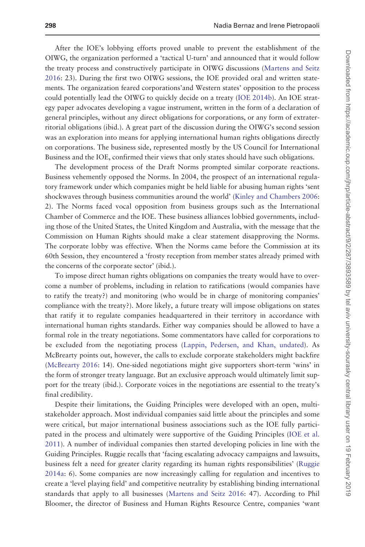After the IOE's lobbying efforts proved unable to prevent the establishment of the OIWG, the organization performed a 'tactical U-turn' and announced that it would follow the treaty process and constructively participate in OIWG discussions [\(Martens and Seitz](#page-20-0) [2016](#page-20-0): 23). During the first two OIWG sessions, the IOE provided oral and written statements. The organization feared corporations'and Western states' opposition to the process could potentially lead the OIWG to quickly decide on a treaty ([IOE 2014b\)](#page-20-0). An IOE strategy paper advocates developing a vague instrument, written in the form of a declaration of general principles, without any direct obligations for corporations, or any form of extraterritorial obligations (ibid.). A great part of the discussion during the OIWG's second session was an exploration into means for applying international human rights obligations directly on corporations. The business side, represented mostly by the US Council for International Business and the IOE, confirmed their views that only states should have such obligations.

The development process of the Draft Norms prompted similar corporate reactions. Business vehemently opposed the Norms. In 2004, the prospect of an international regulatory framework under which companies might be held liable for abusing human rights 'sent shockwaves through business communities around the world' ([Kinley and Chambers 2006](#page-20-0): 2). The Norms faced vocal opposition from business groups such as the International Chamber of Commerce and the IOE. These business alliances lobbied governments, including those of the United States, the United Kingdom and Australia, with the message that the Commission on Human Rights should make a clear statement disapproving the Norms. The corporate lobby was effective. When the Norms came before the Commission at its 60th Session, they encountered a 'frosty reception from member states already primed with the concerns of the corporate sector' (ibid.).

To impose direct human rights obligations on companies the treaty would have to overcome a number of problems, including in relation to ratifications (would companies have to ratify the treaty?) and monitoring (who would be in charge of monitoring companies' compliance with the treaty?). More likely, a future treaty will impose obligations on states that ratify it to regulate companies headquartered in their territory in accordance with international human rights standards. Either way companies should be allowed to have a formal role in the treaty negotiations. Some commentators have called for corporations to be excluded from the negotiating process [\(Lappin, Pedersen, and Khan, undated\)](#page-20-0). As McBrearty points out, however, the calls to exclude corporate stakeholders might backfire [\(McBrearty 2016:](#page-21-0) 14). One-sided negotiations might give supporters short-term 'wins' in the form of stronger treaty language. But an exclusive approach would ultimately limit support for the treaty (ibid.). Corporate voices in the negotiations are essential to the treaty's final credibility.

Despite their limitations, the Guiding Principles were developed with an open, multistakeholder approach. Most individual companies said little about the principles and some were critical, but major international business associations such as the IOE fully participated in the process and ultimately were supportive of the Guiding Principles ([IOE et al.](#page-20-0) [2011](#page-20-0)). A number of individual companies then started developing policies in line with the Guiding Principles. Ruggie recalls that 'facing escalating advocacy campaigns and lawsuits, business felt a need for greater clarity regarding its human rights responsibilities' [\(Ruggie](#page-21-0) [2014a:](#page-21-0) 6). Some companies are now increasingly calling for regulation and incentives to create a 'level playing field' and competitive neutrality by establishing binding international standards that apply to all businesses [\(Martens and Seitz 2016:](#page-20-0) 47). According to Phil Bloomer, the director of Business and Human Rights Resource Centre, companies 'want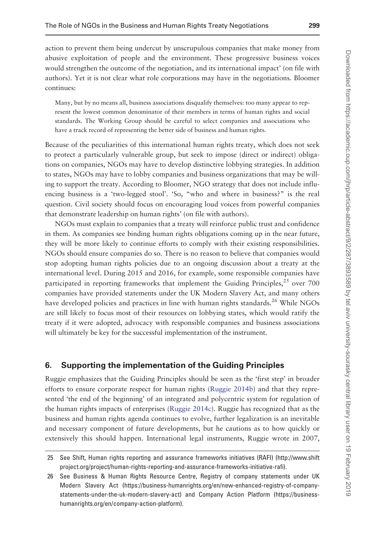action to prevent them being undercut by unscrupulous companies that make money from abusive exploitation of people and the environment. These progressive business voices would strengthen the outcome of the negotiation, and its international impact' (on file with authors). Yet it is not clear what role corporations may have in the negotiations. Bloomer continues:

Many, but by no means all, business associations disqualify themselves: too many appear to represent the lowest common denominator of their members in terms of human rights and social standards. The Working Group should be careful to select companies and associations who have a track record of representing the better side of business and human rights.

Because of the peculiarities of this international human rights treaty, which does not seek to protect a particularly vulnerable group, but seek to impose (direct or indirect) obligations on companies, NGOs may have to develop distinctive lobbying strategies. In addition to states, NGOs may have to lobby companies and business organizations that may be willing to support the treaty. According to Bloomer, NGO strategy that does not include influencing business is a 'two-legged stool'. 'So, "who and where in business?" is the real question. Civil society should focus on encouraging loud voices from powerful companies that demonstrate leadership on human rights' (on file with authors).

NGOs must explain to companies that a treaty will reinforce public trust and confidence in them. As companies see binding human rights obligations coming up in the near future, they will be more likely to continue efforts to comply with their existing responsibilities. NGOs should ensure companies do so. There is no reason to believe that companies would stop adopting human rights policies due to an ongoing discussion about a treaty at the international level. During 2015 and 2016, for example, some responsible companies have participated in reporting frameworks that implement the Guiding Principles, $25$  over 700 companies have provided statements under the UK Modern Slavery Act, and many others have developed policies and practices in line with human rights standards.<sup>26</sup> While NGOs are still likely to focus most of their resources on lobbying states, which would ratify the treaty if it were adopted, advocacy with responsible companies and business associations will ultimately be key for the successful implementation of the instrument.

#### 6. Supporting the implementation of the Guiding Principles

Ruggie emphasizes that the Guiding Principles should be seen as the 'first step' in broader efforts to ensure corporate respect for human rights ([Ruggie 2014b\)](#page-21-0) and that they represented 'the end of the beginning' of an integrated and polycentric system for regulation of the human rights impacts of enterprises ([Ruggie 2014c](#page-21-0)). Ruggie has recognized that as the business and human rights agenda continues to evolve, further legalization is an inevitable and necessary component of future developments, but he cautions as to how quickly or extensively this should happen. International legal instruments, Ruggie wrote in 2007,

<sup>25</sup> See Shift, Human rights reporting and assurance frameworks initiatives (RAFI) [\(http://www.shift](http://www.shiftproject.org/project/human-rights-reporting-and-assurance-frameworks-initiative-rafi) [project.org/project/human-rights-reporting-and-assurance-frameworks-initiative-rafi\)](http://www.shiftproject.org/project/human-rights-reporting-and-assurance-frameworks-initiative-rafi).

<sup>26</sup> See Business & Human Rights Resource Centre, Registry of company statements under UK Modern Slavery Act ([https://business-humanrights.org/en/new-enhanced-registry-of-company](https://business-humanrights.org/en/new-enhanced-registry-of-company-statements-under-the-uk-modern-slavery-act)[statements-under-the-uk-modern-slavery-act\)](https://business-humanrights.org/en/new-enhanced-registry-of-company-statements-under-the-uk-modern-slavery-act) and Company Action Platform [\(https://business](https://business-humanrights.org/en/company-action-platform)[humanrights.org/en/company-action-platform](https://business-humanrights.org/en/company-action-platform)).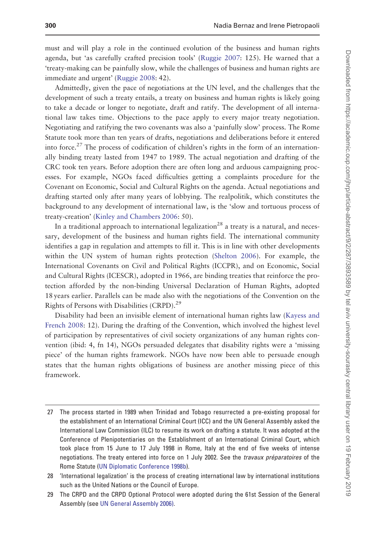must and will play a role in the continued evolution of the business and human rights agenda, but 'as carefully crafted precision tools' [\(Ruggie 2007](#page-21-0): 125). He warned that a 'treaty-making can be painfully slow, while the challenges of business and human rights are immediate and urgent' ([Ruggie 2008](#page-21-0): 42).

Admittedly, given the pace of negotiations at the UN level, and the challenges that the development of such a treaty entails, a treaty on business and human rights is likely going to take a decade or longer to negotiate, draft and ratify. The development of all international law takes time. Objections to the pace apply to every major treaty negotiation. Negotiating and ratifying the two covenants was also a 'painfully slow' process. The Rome Statute took more than ten years of drafts, negotiations and deliberations before it entered into force.<sup>27</sup> The process of codification of children's rights in the form of an internationally binding treaty lasted from 1947 to 1989. The actual negotiation and drafting of the CRC took ten years. Before adoption there are often long and arduous campaigning processes. For example, NGOs faced difficulties getting a complaints procedure for the Covenant on Economic, Social and Cultural Rights on the agenda. Actual negotiations and drafting started only after many years of lobbying. The realpolitik, which constitutes the background to any development of international law, is the 'slow and tortuous process of treaty-creation' ([Kinley and Chambers 2006](#page-20-0): 50).

In a traditional approach to international legalization<sup>28</sup> a treaty is a natural, and necessary, development of the business and human rights field. The international community identifies a gap in regulation and attempts to fill it. This is in line with other developments within the UN system of human rights protection ([Shelton 2006\)](#page-21-0). For example, the International Covenants on Civil and Political Rights (ICCPR), and on Economic, Social and Cultural Rights (ICESCR), adopted in 1966, are binding treaties that reinforce the protection afforded by the non-binding Universal Declaration of Human Rights, adopted 18 years earlier. Parallels can be made also with the negotiations of the Convention on the Rights of Persons with Disabilities (CRPD).29

Disability had been an invisible element of international human rights law [\(Kayess and](#page-20-0) [French 2008](#page-20-0): 12). During the drafting of the Convention, which involved the highest level of participation by representatives of civil society organizations of any human rights convention (ibid: 4, fn 14), NGOs persuaded delegates that disability rights were a 'missing piece' of the human rights framework. NGOs have now been able to persuade enough states that the human rights obligations of business are another missing piece of this framework.

27 The process started in 1989 when Trinidad and Tobago resurrected a pre-existing proposal for the establishment of an International Criminal Court (ICC) and the UN General Assembly asked the International Law Commission (ILC) to resume its work on drafting a statute. It was adopted at the Conference of Plenipotentiaries on the Establishment of an International Criminal Court, which took place from 15 June to 17 July 1998 in Rome, Italy at the end of five weeks of intense negotiations. The treaty entered into force on 1 July 2002. See the *travaux préparatoires* of the Rome Statute [\(UN Diplomatic Conference 1998b\)](#page-22-0).

<sup>28 &#</sup>x27;International legalization' is the process of creating international law by international institutions such as the United Nations or the Council of Europe.

<sup>29</sup> The CRPD and the CRPD Optional Protocol were adopted during the 61st Session of the General Assembly (see [UN General Assembly 2006\).](#page-22-0)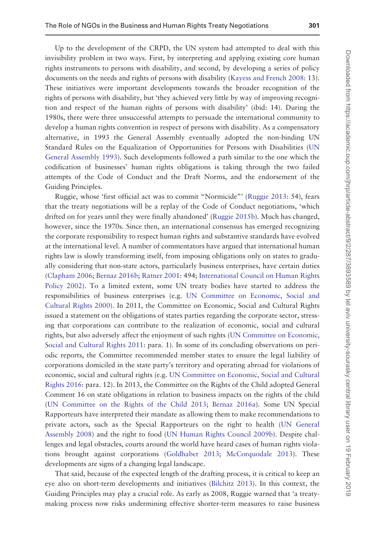Up to the development of the CRPD, the UN system had attempted to deal with this invisibility problem in two ways. First, by interpreting and applying existing core human rights instruments to persons with disability, and second, by developing a series of policy documents on the needs and rights of persons with disability ([Kayess and French 2008](#page-20-0): 13). These initiatives were important developments towards the broader recognition of the rights of persons with disability, but 'they achieved very little by way of improving recognition and respect of the human rights of persons with disability' (ibid: 14). During the 1980s, there were three unsuccessful attempts to persuade the international community to develop a human rights convention in respect of persons with disability. As a compensatory alternative, in 1993 the General Assembly eventually adopted the non-binding UN Standard Rules on the Equalization of Opportunities for Persons with Disabilities [\(UN](#page-22-0) [General Assembly 1993](#page-22-0)). Such developments followed a path similar to the one which the codification of businesses' human rights obligations is taking through the two failed attempts of the Code of Conduct and the Draft Norms, and the endorsement of the Guiding Principles.

Ruggie, whose 'first official act was to commit "Normicide"' [\(Ruggie 2013](#page-21-0): 54), fears that the treaty negotiations will be a replay of the Code of Conduct negotiations, 'which drifted on for years until they were finally abandoned' ([Ruggie 2015b](#page-21-0)). Much has changed, however, since the 1970s. Since then, an international consensus has emerged recognizing the corporate responsibility to respect human rights and substantive standards have evolved at the international level. A number of commentators have argued that international human rights law is slowly transforming itself, from imposing obligations only on states to gradually considering that non-state actors, particularly business enterprises, have certain duties [\(Clapham 2006;](#page-19-0) [Bernaz 2016b](#page-18-0); [Ratner 2001](#page-21-0): 494; [International Council on Human Rights](#page-20-0) [Policy 2002\)](#page-20-0). To a limited extent, some UN treaty bodies have started to address the responsibilities of business enterprises (e.g. [UN Committee on Economic, Social and](#page-22-0) [Cultural Rights 2000\)](#page-22-0). In 2011, the Committee on Economic, Social and Cultural Rights issued a statement on the obligations of states parties regarding the corporate sector, stressing that corporations can contribute to the realization of economic, social and cultural rights, but also adversely affect the enjoyment of such rights ([UN Committee on Economic,](#page-22-0) [Social and Cultural Rights 2011:](#page-22-0) para. 1). In some of its concluding observations on periodic reports, the Committee recommended member states to ensure the legal liability of corporations domiciled in the state party's territory and operating abroad for violations of economic, social and cultural rights (e.g. [UN Committee on Economic, Social and Cultural](#page-22-0) [Rights 2016](#page-22-0): para. 12). In 2013, the Committee on the Rights of the Child adopted General Comment 16 on state obligations in relation to business impacts on the rights of the child [\(UN Committee on the Rights of the Child 2013](#page-22-0); [Bernaz 2016a\)](#page-18-0). Some UN Special Rapporteurs have interpreted their mandate as allowing them to make recommendations to private actors, such as the Special Rapporteurs on the right to health ([UN General](#page-22-0) [Assembly 2008](#page-22-0)) and the right to food ([UN Human Rights Council 2009b\)](#page-23-0). Despite challenges and legal obstacles, courts around the world have heard cases of human rights violations brought against corporations ([Goldhaber 2013;](#page-19-0) [McCorquodale 2013\)](#page-21-0). These developments are signs of a changing legal landscape.

That said, because of the expected length of the drafting process, it is critical to keep an eye also on short-term developments and initiatives [\(Bilchitz 2013](#page-18-0)). In this context, the Guiding Principles may play a crucial role. As early as 2008, Ruggie warned that 'a treatymaking process now risks undermining effective shorter-term measures to raise business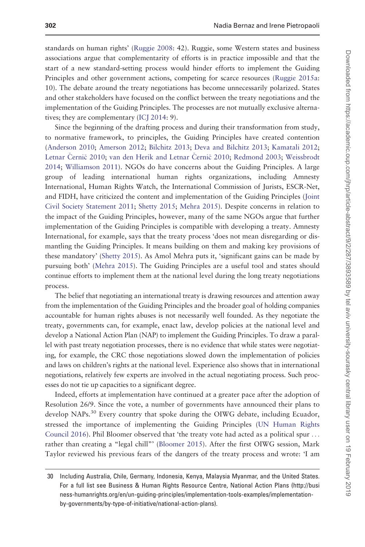standards on human rights' [\(Ruggie 2008](#page-21-0): 42). Ruggie, some Western states and business associations argue that complementarity of efforts is in practice impossible and that the start of a new standard-setting process would hinder efforts to implement the Guiding Principles and other government actions, competing for scarce resources [\(Ruggie 2015a](#page-21-0): 10). The debate around the treaty negotiations has become unnecessarily polarized. States and other stakeholders have focused on the conflict between the treaty negotiations and the implementation of the Guiding Principles. The processes are not mutually exclusive alternatives; they are complementary [\(ICJ 2014:](#page-19-0) 9).

Since the beginning of the drafting process and during their transformation from study, to normative framework, to principles, the Guiding Principles have created contention [\(Anderson 2010;](#page-18-0) [Amerson 2012](#page-18-0); [Bilchitz 2013](#page-18-0); [Deva and Bilchitz 2013](#page-19-0); [Kamatali 2012](#page-20-0); [Letnar](#page-20-0) Č[erni](#page-23-0)č [2010](#page-23-0); [van den Herik and Letnar](#page-23-0) Černič 2010; [Redmond 2003;](#page-21-0) [Weissbrodt](#page-23-0) [2014](#page-23-0); [Williamson 2011](#page-24-0)). NGOs do have concerns about the Guiding Principles. A large group of leading international human rights organizations, including Amnesty International, Human Rights Watch, the International Commission of Jurists, ESCR-Net, and FIDH, have criticized the content and implementation of the Guiding Principles ([Joint](#page-20-0) [Civil Society Statement 2011;](#page-20-0) [Shetty 2015;](#page-21-0) [Mehra 2015](#page-21-0)). Despite concerns in relation to the impact of the Guiding Principles, however, many of the same NGOs argue that further implementation of the Guiding Principles is compatible with developing a treaty. Amnesty International, for example, says that the treaty process 'does not mean disregarding or dismantling the Guiding Principles. It means building on them and making key provisions of these mandatory' [\(Shetty 2015](#page-21-0)). As Amol Mehra puts it, 'significant gains can be made by pursuing both' [\(Mehra 2015](#page-21-0)). The Guiding Principles are a useful tool and states should continue efforts to implement them at the national level during the long treaty negotiations process.

The belief that negotiating an international treaty is drawing resources and attention away from the implementation of the Guiding Principles and the broader goal of holding companies accountable for human rights abuses is not necessarily well founded. As they negotiate the treaty, governments can, for example, enact law, develop policies at the national level and develop a National Action Plan (NAP) to implement the Guiding Principles. To draw a parallel with past treaty negotiation processes, there is no evidence that while states were negotiating, for example, the CRC those negotiations slowed down the implementation of policies and laws on children's rights at the national level. Experience also shows that in international negotiations, relatively few experts are involved in the actual negotiating process. Such processes do not tie up capacities to a significant degree.

Indeed, efforts at implementation have continued at a greater pace after the adoption of Resolution 26/9. Since the vote, a number of governments have announced their plans to develop NAPs.<sup>30</sup> Every country that spoke during the OIWG debate, including Ecuador, stressed the importance of implementing the Guiding Principles [\(UN Human Rights](#page-23-0) [Council 2016\)](#page-23-0). Phil Bloomer observed that 'the treaty vote had acted as a political spur ... rather than creating a "legal chill"' ([Bloomer 2015\)](#page-18-0). After the first OIWG session, Mark Taylor reviewed his previous fears of the dangers of the treaty process and wrote: 'I am

<sup>30</sup> Including Australia, Chile, Germany, Indonesia, Kenya, Malaysia Myanmar, and the United States. For a full list see Business & Human Rights Resource Centre, National Action Plans ([http://busi](http://business-humanrights.org/en/un-guiding-principles/implementation-tools-examples/implementation-by-governments/by-type-of-initiative/national-action-plans) [ness-humanrights.org/en/un-guiding-principles/implementation-tools-examples/implementation](http://business-humanrights.org/en/un-guiding-principles/implementation-tools-examples/implementation-by-governments/by-type-of-initiative/national-action-plans)[by-governments/by-type-of-initiative/national-action-plans\)](http://business-humanrights.org/en/un-guiding-principles/implementation-tools-examples/implementation-by-governments/by-type-of-initiative/national-action-plans).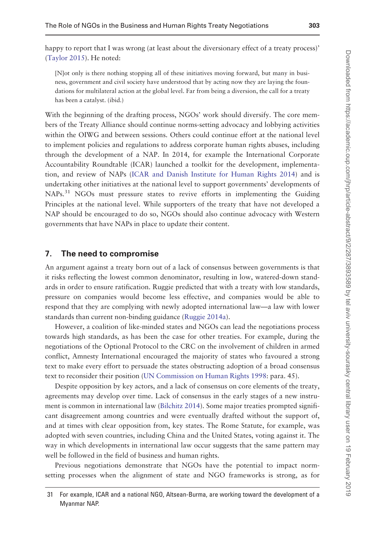happy to report that I was wrong (at least about the diversionary effect of a treaty process)' [\(Taylor 2015\)](#page-21-0). He noted:

[N]ot only is there nothing stopping all of these initiatives moving forward, but many in business, government and civil society have understood that by acting now they are laying the foundations for multilateral action at the global level. Far from being a diversion, the call for a treaty has been a catalyst. (ibid.)

With the beginning of the drafting process, NGOs' work should diversify. The core members of the Treaty Alliance should continue norms-setting advocacy and lobbying activities within the OIWG and between sessions. Others could continue effort at the national level to implement policies and regulations to address corporate human rights abuses, including through the development of a NAP. In 2014, for example the International Corporate Accountability Roundtable (ICAR) launched a toolkit for the development, implementation, and review of NAPs ([ICAR and Danish Institute for Human Rights 2014\)](#page-19-0) and is undertaking other initiatives at the national level to support governments' developments of NAPs.31 NGOs must pressure states to revive efforts in implementing the Guiding Principles at the national level. While supporters of the treaty that have not developed a NAP should be encouraged to do so, NGOs should also continue advocacy with Western governments that have NAPs in place to update their content.

## 7. The need to compromise

An argument against a treaty born out of a lack of consensus between governments is that it risks reflecting the lowest common denominator, resulting in low, watered-down standards in order to ensure ratification. Ruggie predicted that with a treaty with low standards, pressure on companies would become less effective, and companies would be able to respond that they are complying with newly adopted international law—a law with lower standards than current non-binding guidance [\(Ruggie 2014a](#page-21-0)).

However, a coalition of like-minded states and NGOs can lead the negotiations process towards high standards, as has been the case for other treaties. For example, during the negotiations of the Optional Protocol to the CRC on the involvement of children in armed conflict, Amnesty International encouraged the majority of states who favoured a strong text to make every effort to persuade the states obstructing adoption of a broad consensus text to reconsider their position [\(UN Commission on Human Rights 1998](#page-22-0): para. 45).

Despite opposition by key actors, and a lack of consensus on core elements of the treaty, agreements may develop over time. Lack of consensus in the early stages of a new instrument is common in international law [\(Bilchitz 2014\)](#page-18-0). Some major treaties prompted significant disagreement among countries and were eventually drafted without the support of, and at times with clear opposition from, key states. The Rome Statute, for example, was adopted with seven countries, including China and the United States, voting against it. The way in which developments in international law occur suggests that the same pattern may well be followed in the field of business and human rights.

Previous negotiations demonstrate that NGOs have the potential to impact normsetting processes when the alignment of state and NGO frameworks is strong, as for

<sup>31</sup> For example, ICAR and a national NGO, Altsean-Burma, are working toward the development of a Myanmar NAP.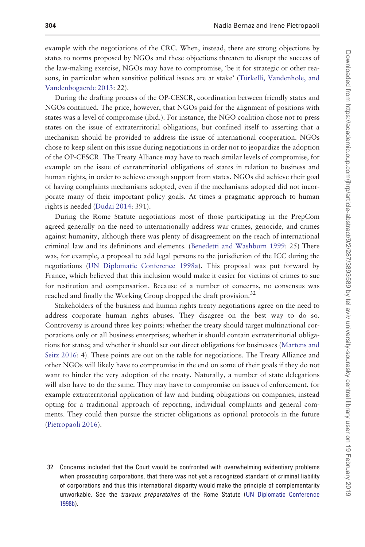example with the negotiations of the CRC. When, instead, there are strong objections by states to norms proposed by NGOs and these objections threaten to disrupt the success of the law-making exercise, NGOs may have to compromise, 'be it for strategic or other reasons, in particular when sensitive political issues are at stake' (Türkelli, Vandenhole, and [Vandenbogaerde 2013](#page-22-0): 22).

During the drafting process of the OP-CESCR, coordination between friendly states and NGOs continued. The price, however, that NGOs paid for the alignment of positions with states was a level of compromise (ibid.). For instance, the NGO coalition chose not to press states on the issue of extraterritorial obligations, but confined itself to asserting that a mechanism should be provided to address the issue of international cooperation. NGOs chose to keep silent on this issue during negotiations in order not to jeopardize the adoption of the OP-CESCR. The Treaty Alliance may have to reach similar levels of compromise, for example on the issue of extraterritorial obligations of states in relation to business and human rights, in order to achieve enough support from states. NGOs did achieve their goal of having complaints mechanisms adopted, even if the mechanisms adopted did not incorporate many of their important policy goals. At times a pragmatic approach to human rights is needed ([Dudai 2014](#page-19-0): 391).

During the Rome Statute negotiations most of those participating in the PrepCom agreed generally on the need to internationally address war crimes, genocide, and crimes against humanity, although there was plenty of disagreement on the reach of international criminal law and its definitions and elements. ([Benedetti and Washburn 1999](#page-18-0): 25) There was, for example, a proposal to add legal persons to the jurisdiction of the ICC during the negotiations [\(UN Diplomatic Conference 1998a](#page-22-0)). This proposal was put forward by France, which believed that this inclusion would make it easier for victims of crimes to sue for restitution and compensation. Because of a number of concerns, no consensus was reached and finally the Working Group dropped the draft provision.<sup>32</sup>

Stakeholders of the business and human rights treaty negotiations agree on the need to address corporate human rights abuses. They disagree on the best way to do so. Controversy is around three key points: whether the treaty should target multinational corporations only or all business enterprises; whether it should contain extraterritorial obligations for states; and whether it should set out direct obligations for businesses [\(Martens and](#page-20-0) [Seitz 2016](#page-20-0): 4). These points are out on the table for negotiations. The Treaty Alliance and other NGOs will likely have to compromise in the end on some of their goals if they do not want to hinder the very adoption of the treaty. Naturally, a number of state delegations will also have to do the same. They may have to compromise on issues of enforcement, for example extraterritorial application of law and binding obligations on companies, instead opting for a traditional approach of reporting, individual complaints and general comments. They could then pursue the stricter obligations as optional protocols in the future [\(Pietropaoli 2016](#page-21-0)).

<sup>32</sup> Concerns included that the Court would be confronted with overwhelming evidentiary problems when prosecuting corporations, that there was not yet a recognized standard of criminal liability of corporations and thus this international disparity would make the principle of complementarity unworkable. See the travaux préparatoires of the Rome Statute [\(UN Diplomatic Conference](#page-22-0) [1998b\)](#page-22-0).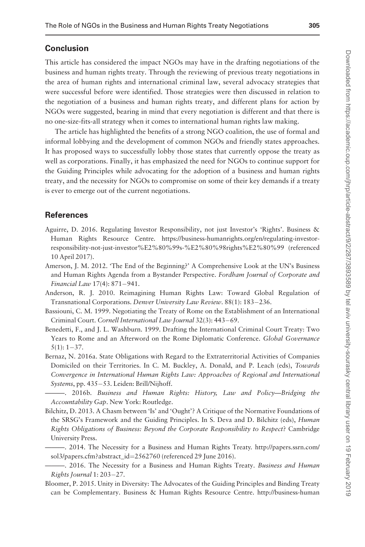## <span id="page-18-0"></span>Conclusion

This article has considered the impact NGOs may have in the drafting negotiations of the business and human rights treaty. Through the reviewing of previous treaty negotiations in the area of human rights and international criminal law, several advocacy strategies that were successful before were identified. Those strategies were then discussed in relation to the negotiation of a business and human rights treaty, and different plans for action by NGOs were suggested, bearing in mind that every negotiation is different and that there is no one-size-fits-all strategy when it comes to international human rights law making.

The article has highlighted the benefits of a strong NGO coalition, the use of formal and informal lobbying and the development of common NGOs and friendly states approaches. It has proposed ways to successfully lobby those states that currently oppose the treaty as well as corporations. Finally, it has emphasized the need for NGOs to continue support for the Guiding Principles while advocating for the adoption of a business and human rights treaty, and the necessity for NGOs to compromise on some of their key demands if a treaty is ever to emerge out of the current negotiations.

# **References**

- Aguirre, D. 2016. Regulating Investor Responsibility, not just Investor's 'Rights'. Business & Human Rights Resource Centre. [https://business-humanrights.org/en/regulating-investor](https://business-humanrights.org/en/regulating-investor-responsibility-not-just-investor%E2%80%99s-%E2%80%98rights%E2%80%99)[responsibility-not-just-investor%E2%80%99s-%E2%80%98rights%E2%80%99](https://business-humanrights.org/en/regulating-investor-responsibility-not-just-investor%E2%80%99s-%E2%80%98rights%E2%80%99) (referenced 10 April 2017).
- Amerson, J. M. 2012. 'The End of the Beginning?' A Comprehensive Look at the UN's Business and Human Rights Agenda from a Bystander Perspective. Fordham Journal of Corporate and Financial Law 17(4): 871-941.
- Anderson, R. J. 2010. Reimagining Human Rights Law: Toward Global Regulation of Transnational Corporations. Denver University Law Review. 88(1): 183-236.
- Bassiouni, C. M. 1999. Negotiating the Treaty of Rome on the Establishment of an International Criminal Court. Cornell International Law Journal 32(3): 443-69.
- Benedetti, F., and J. L. Washburn. 1999. Drafting the International Criminal Court Treaty: Two Years to Rome and an Afterword on the Rome Diplomatic Conference. Global Governance  $5(1): 1-37.$
- Bernaz, N. 2016a. State Obligations with Regard to the Extraterritorial Activities of Companies Domiciled on their Territories. In C. M. Buckley, A. Donald, and P. Leach (eds), Towards Convergence in International Human Rights Law: Approaches of Regional and International Systems, pp. 435-53. Leiden: Brill/Nijhoff.

———. 2016b. Business and Human Rights: History, Law and Policy—Bridging the Accountability Gap. New York: Routledge.

- Bilchitz, D. 2013. A Chasm between 'Is' and 'Ought'? A Critique of the Normative Foundations of the SRSG's Framework and the Guiding Principles. In S. Deva and D. Bilchitz (eds), Human Rights Obligations of Business: Beyond the Corporate Responsibility to Respect? Cambridge University Press.
- ———. 2014. The Necessity for a Business and Human Rights Treaty. [http://papers.ssrn.com/](http://papers.ssrn.com/sol3/papers.cfm?abstract_id=2562760) [sol3/papers.cfm?abstract\\_id](http://papers.ssrn.com/sol3/papers.cfm?abstract_id=2562760)=[2562760](http://papers.ssrn.com/sol3/papers.cfm?abstract_id=2562760) (referenced 29 June 2016).

Bloomer, P. 2015. Unity in Diversity: The Advocates of the Guiding Principles and Binding Treaty can be Complementary. Business & Human Rights Resource Centre. [http://business-human](http://business-humanrights.org/en/unity-in-diversity-the-advocates-for-the-guiding-principles-and-binding-treaty-can-be-complementary)

<sup>-. 2016.</sup> The Necessity for a Business and Human Rights Treaty. Business and Human Rights Journal 1: 203-27.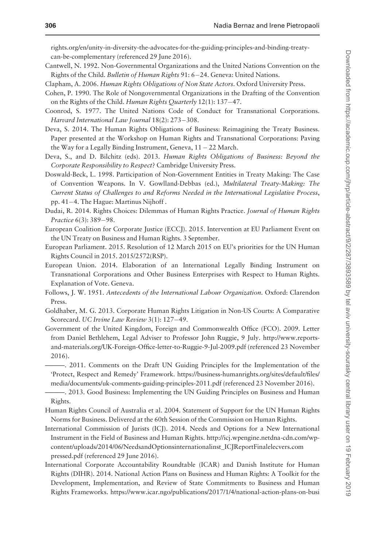<span id="page-19-0"></span>[rights.org/en/unity-in-diversity-the-advocates-for-the-guiding-principles-and-binding-treaty](http://business-humanrights.org/en/unity-in-diversity-the-advocates-for-the-guiding-principles-and-binding-treaty-can-be-complementary)[can-be-complementary](http://business-humanrights.org/en/unity-in-diversity-the-advocates-for-the-guiding-principles-and-binding-treaty-can-be-complementary) (referenced 29 June 2016).

- Cantwell, N. 1992. Non-Governmental Organizations and the United Nations Convention on the Rights of the Child. Bulletin of Human Rights 91: 6-24. Geneva: United Nations.
- Clapham, A. 2006. Human Rights Obligations of Non State Actors. Oxford University Press.
- Cohen, P. 1990. The Role of Nongovernmental Organizations in the Drafting of the Convention on the Rights of the Child. *Human Rights Quarterly* 12(1): 137–47.
- Coonrod, S. 1977. The United Nations Code of Conduct for Transnational Corporations. Harvard International Law Journal 18(2): 273-308.
- Deva, S. 2014. The Human Rights Obligations of Business: Reimagining the Treaty Business. Paper presented at the Workshop on Human Rights and Transnational Corporations: Paving the Way for a Legally Binding Instrument, Geneva, 11 – 22 March.
- Deva, S., and D. Bilchitz (eds). 2013. Human Rights Obligations of Business: Beyond the Corporate Responsibility to Respect? Cambridge University Press.
- Doswald-Beck, L. 1998. Participation of Non-Government Entities in Treaty Making: The Case of Convention Weapons. In V. Gowlland-Debbas (ed.), Multilateral Treaty-Making: The Current Status of Challenges to and Reforms Needed in the International Legislative Process, pp. 41-4. The Hague: Martinus Nijhoff .
- Dudai, R. 2014. Rights Choices: Dilemmas of Human Rights Practice. Journal of Human Rights Practice 6(3): 389-98.
- European Coalition for Corporate Justice (ECCJ). 2015. Intervention at EU Parliament Event on the UN Treaty on Business and Human Rights. 3 September.
- European Parliament. 2015. Resolution of 12 March 2015 on EU's priorities for the UN Human Rights Council in 2015. 2015/2572(RSP).
- European Union. 2014. Elaboration of an International Legally Binding Instrument on Transnational Corporations and Other Business Enterprises with Respect to Human Rights. Explanation of Vote. Geneva.
- Follows, J. W. 1951. Antecedents of the International Labour Organization. Oxford: Clarendon Press.
- Goldhaber, M. G. 2013. Corporate Human Rights Litigation in Non-US Courts: A Comparative Scorecard. UC Irvine Law Review 3(1): 127-49.
- Government of the United Kingdom, Foreign and Commonwealth Office (FCO). 2009. Letter from Daniel Bethlehem, Legal Adviser to Professor John Ruggie, 9 July. [http://www.reports](http://www.reports-and-materials.org/UK-Foreign-Office-letter-to-Ruggie-9-Jul-2009.pdf)[and-materials.org/UK-Foreign-Office-letter-to-Ruggie-9-Jul-2009.pdf](http://www.reports-and-materials.org/UK-Foreign-Office-letter-to-Ruggie-9-Jul-2009.pdf) (referenced 23 November 2016).
- ———. 2011. Comments on the Draft UN Guiding Principles for the Implementation of the 'Protect, Respect and Remedy' Framework. [https://business-humanrights.org/sites/default/files/](https://business-humanrights.org/sites/default/files/media/documents/uk-comments-guiding-principles-2011.pdf) [media/documents/uk-comments-guiding-principles-2011.pdf](https://business-humanrights.org/sites/default/files/media/documents/uk-comments-guiding-principles-2011.pdf) (referenced 23 November 2016).
- ———. 2013. Good Business: Implementing the UN Guiding Principles on Business and Human Rights.
- Human Rights Council of Australia et al. 2004. Statement of Support for the UN Human Rights Norms for Business. Delivered at the 60th Session of the Commission on Human Rights.
- International Commission of Jurists (ICJ). 2014. Needs and Options for a New International Instrument in the Field of Business and Human Rights. [http://icj.wpengine.netdna-cdn.com/wp](http://icj.wpengine.netdna-cdn.com/wp-content/uploads/2014/06/NeedsandOptionsinternationalinst_ICJReportFinalelecvers.compressed.pdf)[content/uploads/2014/06/NeedsandOptionsinternationalinst\\_ICJReportFinalelecvers.com](http://icj.wpengine.netdna-cdn.com/wp-content/uploads/2014/06/NeedsandOptionsinternationalinst_ICJReportFinalelecvers.compressed.pdf) [pressed.pdf](http://icj.wpengine.netdna-cdn.com/wp-content/uploads/2014/06/NeedsandOptionsinternationalinst_ICJReportFinalelecvers.compressed.pdf) (referenced 29 June 2016).
- International Corporate Accountability Roundtable (ICAR) and Danish Institute for Human Rights (DIHR). 2014. National Action Plans on Business and Human Rights: A Toolkit for the Development, Implementation, and Review of State Commitments to Business and Human Rights Frameworks. [https://www.icar.ngo/publications/2017/1/4/national-action-plans-on-busi](https://www.icar.ngo/publications/2017/1/4/national-action-plans-on-business-and-human-rights-a-toolkit-for-the-development-implementation-and-review-of-state-commitments-to-business-and-human-rights-frameworks)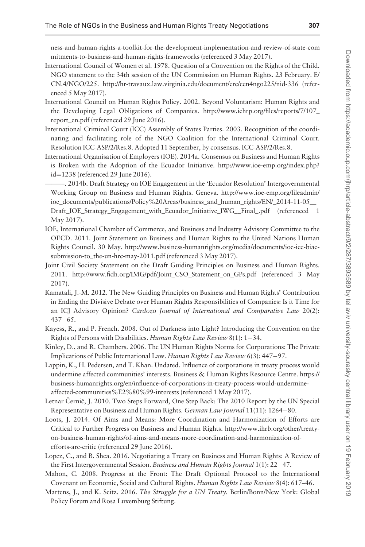<span id="page-20-0"></span>[ness-and-human-rights-a-toolkit-for-the-development-implementation-and-review-of-state-com](https://www.icar.ngo/publications/2017/1/4/national-action-plans-on-business-and-human-rights-a-toolkit-for-the-development-implementation-and-review-of-state-commitments-to-business-and-human-rights-frameworks) [mitments-to-business-and-human-rights-frameworks](https://www.icar.ngo/publications/2017/1/4/national-action-plans-on-business-and-human-rights-a-toolkit-for-the-development-implementation-and-review-of-state-commitments-to-business-and-human-rights-frameworks) (referenced 3 May 2017).

- International Council of Women et al. 1978. Question of a Convention on the Rights of the Child. NGO statement to the 34th session of the UN Commission on Human Rights. 23 February. E/ CN.4/NGO/225.<http://hr-travaux.law.virginia.edu/document/crc/ecn4ngo225/nid-336> (referenced 5 May 2017).
- International Council on Human Rights Policy. 2002. Beyond Voluntarism: Human Rights and the Developing Legal Obligations of Companies. [http://www.ichrp.org/files/reports/7/107\\_](http://www.ichrp.org/files/reports/7/107_report_en.pdf) [report\\_en.pdf](http://www.ichrp.org/files/reports/7/107_report_en.pdf) (referenced 29 June 2016).
- International Criminal Court (ICC) Assembly of States Parties. 2003. Recognition of the coordinating and facilitating role of the NGO Coalition for the International Criminal Court. Resolution ICC-ASP/2/Res.8. Adopted 11 September, by consensus. ICC-ASP/2/Res.8.
- International Organisation of Employers (IOE). 2014a. Consensus on Business and Human Rights is Broken with the Adoption of the Ecuador Initiative. [http://www.ioe-emp.org/index.php?](http://www.ioe-emp.org/index.php?id=1238)  $id=1238$  $id=1238$  $id=1238$  (referenced 29 June 2016).
- ———. 2014b. Draft Strategy on IOE Engagement in the 'Ecuador Resolution' Intergovernmental Working Group on Business and Human Rights. Geneva. [http://www.ioe-emp.org/fileadmin/](http://www.ioe-emp.org/fileadmin/ioe_documents/publications/Policy%20Areas/business_and_human_rights/EN/_2014-11-05__Draft_IOE_Strategy_Engagement_with_Ecuador_Initiative_IWG__Final_.pdf) ioe\_documents/publications/Policy%20Areas/business\_and\_human\_rights/EN/\_2014-11-05 [Draft\\_IOE\\_Strategy\\_Engagement\\_with\\_Ecuador\\_Initiative\\_IWG\\_\\_Final\\_.pdf](http://www.ioe-emp.org/fileadmin/ioe_documents/publications/Policy%20Areas/business_and_human_rights/EN/_2014-11-05__Draft_IOE_Strategy_Engagement_with_Ecuador_Initiative_IWG__Final_.pdf) (referenced 1 May 2017).
- IOE, International Chamber of Commerce, and Business and Industry Advisory Committee to the OECD. 2011. Joint Statement on Business and Human Rights to the United Nations Human Rights Council. 30 May. [http://www.business-humanrights.org/media/documents/ioe-icc-biac](http://www.business-humanrights.org/media/documents/ioe-icc-biac-submission-to_the-un-hrc-may-2011.pdf)[submission-to\\_the-un-hrc-may-2011.pdf](http://www.business-humanrights.org/media/documents/ioe-icc-biac-submission-to_the-un-hrc-may-2011.pdf) (referenced 3 May 2017).
- Joint Civil Society Statement on the Draft Guiding Principles on Business and Human Rights. 2011. [http://www.fidh.org/IMG/pdf/Joint\\_CSO\\_Statement\\_on\\_GPs.pdf](http://www.fidh.org/IMG/pdf/Joint_CSO_Statement_on_GPs.pdf) (referenced 3 May 2017).
- Kamatali, J.-M. 2012. The New Guiding Principles on Business and Human Rights' Contribution in Ending the Divisive Debate over Human Rights Responsibilities of Companies: Is it Time for an ICJ Advisory Opinion? Cardozo Journal of International and Comparative Law 20(2): 437-65.
- Kayess, R., and P. French. 2008. Out of Darkness into Light? Introducing the Convention on the Rights of Persons with Disabilities. Human Rights Law Review 8(1): 1–34.
- Kinley, D., and R. Chambers. 2006. The UN Human Rights Norms for Corporations: The Private Implications of Public International Law. Human Rights Law Review 6(3): 447–97.
- Lappin, K., H. Pedersen, and T. Khan. Undated. Influence of corporations in treaty process would undermine affected communities' interests. Business & Human Rights Resource Centre. [https://](https://business-humanrights.org/en/influence-of-corporations-in-treaty-process-would-undermine-affected-communities%E2%80%99-interests) [business-humanrights.org/en/influence-of-corporations-in-treaty-process-would-undermine](https://business-humanrights.org/en/influence-of-corporations-in-treaty-process-would-undermine-affected-communities%E2%80%99-interests)[affected-communities%E2%80%99-interests](https://business-humanrights.org/en/influence-of-corporations-in-treaty-process-would-undermine-affected-communities%E2%80%99-interests) (referenced 1 May 2017).
- Letnar Černič, J. 2010. Two Steps Forward, One Step Back: The 2010 Report by the UN Special Representative on Business and Human Rights. German Law Journal 11(11): 1264–80.
- Loots, J. 2014. Of Aims and Means: More Coordination and Harmonization of Efforts are Critical to Further Progress on Business and Human Rights. [http://www.ihrb.org/other/treaty](http://www.ihrb.org/other/treaty-on-business-human-rights/of-aims-and-means-more-coordination-and-harmonization-of-efforts-are-critic)[on-business-human-rights/of-aims-and-means-more-coordination-and-harmonization-of](http://www.ihrb.org/other/treaty-on-business-human-rights/of-aims-and-means-more-coordination-and-harmonization-of-efforts-are-critic)[efforts-are-critic](http://www.ihrb.org/other/treaty-on-business-human-rights/of-aims-and-means-more-coordination-and-harmonization-of-efforts-are-critic) (referenced 29 June 2016).
- Lopez, C., and B. Shea. 2016. Negotiating a Treaty on Business and Human Rights: A Review of the First Intergovernmental Session. *Business and Human Rights Journal* 1(1): 22–47.
- Mahon, C. 2008. Progress at the Front: The Draft Optional Protocol to the International Covenant on Economic, Social and Cultural Rights. Human Rights Law Review 8(4): 617–46.
- Martens, J., and K. Seitz. 2016. The Struggle for a UN Treaty. Berlin/Bonn/New York: Global Policy Forum and Rosa Luxemburg Stiftung.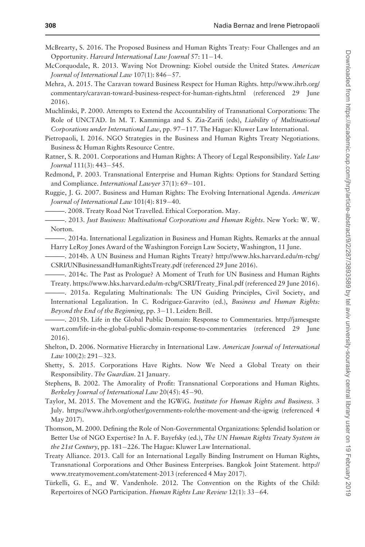- <span id="page-21-0"></span>McBrearty, S. 2016. The Proposed Business and Human Rights Treaty: Four Challenges and an Opportunity. Harvard International Law Journal 57: 11-14.
- McCorquodale, R. 2013. Waving Not Drowning: Kiobel outside the United States. American Journal of International Law 107(1): 846-57.
- Mehra, A. 2015. The Caravan toward Business Respect for Human Rights. [http://www.ihrb.org/](http://www.ihrb.org/commentary/caravan-toward-business-respect-for-human-rights.html) [commentary/caravan-toward-business-respect-for-human-rights.html](http://www.ihrb.org/commentary/caravan-toward-business-respect-for-human-rights.html) (referenced 29 June 2016).
- Muchlinski, P. 2000. Attempts to Extend the Accountability of Transnational Corporations: The Role of UNCTAD. In M. T. Kamminga and S. Zia-Zarifi (eds), Liability of Multinational Corporations under International Law, pp. 97-117. The Hague: Kluwer Law International.
- Pietropaoli, I. 2016. NGO Strategies in the Business and Human Rights Treaty Negotiations. Business & Human Rights Resource Centre.
- Ratner, S. R. 2001. Corporations and Human Rights: A Theory of Legal Responsibility. Yale Law Journal 111(3): 443-545.
- Redmond, P. 2003. Transnational Enterprise and Human Rights: Options for Standard Setting and Compliance. International Lawyer 37(1): 69–101.
- Ruggie, J. G. 2007. Business and Human Rights: The Evolving International Agenda. American Journal of International Law 101(4): 819-40.
	- ———. 2008. Treaty Road Not Travelled. Ethical Corporation. May.
- ———. 2013. Just Business: Multinational Corporations and Human Rights. New York: W. W. Norton.
- ———. 2014a. International Legalization in Business and Human Rights. Remarks at the annual Harry LeRoy Jones Award of the Washington Foreign Law Society, Washington, 11 June.
- ———. 2014b. A UN Business and Human Rights Treaty? [http://www.hks.harvard.edu/m-rcbg/](http://www.hks.harvard.edu/m-rcbg/CSRI/UNBusinessandHumanRightsTreaty.pdf) [CSRI/UNBusinessandHumanRightsTreaty.pdf](http://www.hks.harvard.edu/m-rcbg/CSRI/UNBusinessandHumanRightsTreaty.pdf) (referenced 29 June 2016).
- ———. 2014c. The Past as Prologue? A Moment of Truth for UN Business and Human Rights Treaty. [https://www.hks.harvard.edu/m-rcbg/CSRI/Treaty\\_Final.pdf](https://www.hks.harvard.edu/m-rcbg/CSRI/Treaty_Final.pdf) (referenced 29 June 2016).
- ———. 2015a. Regulating Multinationals: The UN Guiding Principles, Civil Society, and International Legalization. In C. Rodriguez-Garavito (ed.), Business and Human Rights: Beyond the End of the Beginning, pp. 3-11. Leiden: Brill.
- ———. 2015b. Life in the Global Public Domain: Response to Commentaries. [http://jamesgste](http://jamesgstewart.com/life-in-the-global-public-domain-response-to-commentaries) [wart.com/life-in-the-global-public-domain-response-to-commentaries](http://jamesgstewart.com/life-in-the-global-public-domain-response-to-commentaries) (referenced 29 June 2016).
- Shelton, D. 2006. Normative Hierarchy in International Law. American Journal of International Law 100(2): 291-323.
- Shetty, S. 2015. Corporations Have Rights. Now We Need a Global Treaty on their Responsibility. The Guardian. 21 January.
- Stephens, B. 2002. The Amorality of Profit: Transnational Corporations and Human Rights. Berkeley Journal of International Law 20(45): 45-90.
- Taylor, M. 2015. The Movement and the IGWiG. Institute for Human Rights and Business. 3 July.<https://www.ihrb.org/other/governments-role/the-movement-and-the-igwig> (referenced 4 May 2017).
- Thomson, M. 2000. Defining the Role of Non-Governmental Organizations: Splendid Isolation or Better Use of NGO Expertise? In A. F. Bayefsky (ed.), The UN Human Rights Treaty System in the 21st Century, pp. 181–226. The Hague: Kluwer Law International.
- Treaty Alliance. 2013. Call for an International Legally Binding Instrument on Human Rights, Transnational Corporations and Other Business Enterprises. Bangkok Joint Statement. [http://](http://www.treatymovement.com/statement-2013) [www.treatymovement.com/statement-2013](http://www.treatymovement.com/statement-2013) (referenced 4 May 2017).
- Türkelli, G. E., and W. Vandenhole. 2012. The Convention on the Rights of the Child: Repertoires of NGO Participation. Human Rights Law Review 12(1): 33–64.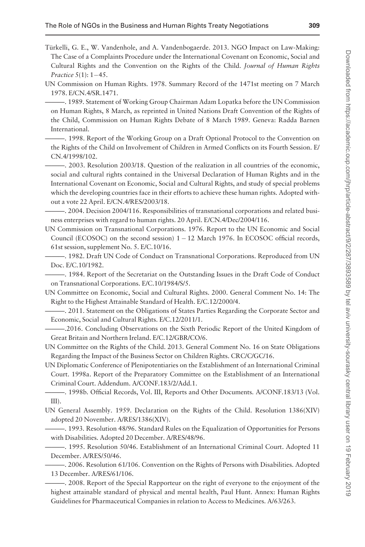- <span id="page-22-0"></span>Türkelli, G. E., W. Vandenhole, and A. Vandenbogaerde. 2013. NGO Impact on Law-Making: The Case of a Complaints Procedure under the International Covenant on Economic, Social and Cultural Rights and the Convention on the Rights of the Child. Journal of Human Rights Practice 5(1): 1-45.
- UN Commission on Human Rights. 1978. Summary Record of the 1471st meeting on 7 March 1978. E/CN.4/SR.1471.

-. 1989. Statement of Working Group Chairman Adam Lopatka before the UN Commission on Human Rights, 8 March, as reprinted in United Nations Draft Convention of the Rights of the Child, Commission on Human Rights Debate of 8 March 1989. Geneva: Radda Barnen International.

———. 1998. Report of the Working Group on a Draft Optional Protocol to the Convention on the Rights of the Child on Involvement of Children in Armed Conflicts on its Fourth Session. E/ CN.4/1998/102.

———. 2003. Resolution 2003/18. Question of the realization in all countries of the economic, social and cultural rights contained in the Universal Declaration of Human Rights and in the International Covenant on Economic, Social and Cultural Rights, and study of special problems which the developing countries face in their efforts to achieve these human rights. Adopted without a vote 22 April. E/CN.4/RES/2003/18.

———. 2004. Decision 2004/116. Responsibilities of transnational corporations and related business enterprises with regard to human rights. 20 April. E/CN.4/Dec/2004/116.

- UN Commission on Transnational Corporations. 1976. Report to the UN Economic and Social Council (ECOSOC) on the second session) 1 - 12 March 1976. In ECOSOC official records, 61st session, supplement No. 5. E/C.10/16.
	- ———. 1982. Draft UN Code of Conduct on Transnational Corporations. Reproduced from UN Doc. E/C.10/1982.

———. 1984. Report of the Secretariat on the Outstanding Issues in the Draft Code of Conduct on Transnational Corporations. E/C.10/1984/S/5.

UN Committee on Economic, Social and Cultural Rights. 2000. General Comment No. 14: The Right to the Highest Attainable Standard of Health. E/C.12/2000/4.

———. 2011. Statement on the Obligations of States Parties Regarding the Corporate Sector and Economic, Social and Cultural Rights. E/C.12/2011/1.

———.2016. Concluding Observations on the Sixth Periodic Report of the United Kingdom of Great Britain and Northern Ireland. E/C.12/GBR/CO/6.

- UN Committee on the Rights of the Child. 2013. General Comment No. 16 on State Obligations Regarding the Impact of the Business Sector on Children Rights. CRC/C/GC/16.
- UN Diplomatic Conference of Plenipotentiaries on the Establishment of an International Criminal Court. 1998a. Report of the Preparatory Committee on the Establishment of an International Criminal Court. Addendum. A/CONF.183/2/Add.1.

———. 1998b. Official Records, Vol. III, Reports and Other Documents. A/CONF.183/13 (Vol. III).

UN General Assembly. 1959. Declaration on the Rights of the Child. Resolution 1386(XIV) adopted 20 November. A/RES/1386(XIV).

———. 1993. Resolution 48/96. Standard Rules on the Equalization of Opportunities for Persons with Disabilities. Adopted 20 December. A/RES/48/96.

———. 1995. Resolution 50/46. Establishment of an International Criminal Court. Adopted 11 December. A/RES/50/46.

———. 2006. Resolution 61/106. Convention on the Rights of Persons with Disabilities. Adopted 13 December. A/RES/61/106.

———. 2008. Report of the Special Rapporteur on the right of everyone to the enjoyment of the highest attainable standard of physical and mental health, Paul Hunt. Annex: Human Rights Guidelines for Pharmaceutical Companies in relation to Access to Medicines. A/63/263.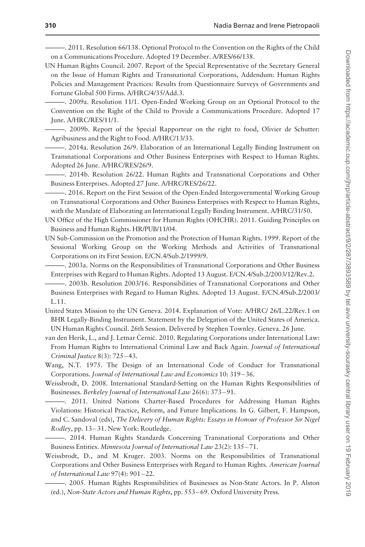<span id="page-23-0"></span>———. 2011. Resolution 66/138. Optional Protocol to the Convention on the Rights of the Child on a Communications Procedure. Adopted 19 December. A/RES/66/138.

- UN Human Rights Council. 2007. Report of the Special Representative of the Secretary General on the Issue of Human Rights and Transnational Corporations, Addendum: Human Rights Policies and Management Practices: Results from Questionnaire Surveys of Governments and Fortune Global 500 Firms. A/HRC/4/35/Add.3.
- ———. 2009a. Resolution 11/1. Open-Ended Working Group on an Optional Protocol to the Convention on the Right of the Child to Provide a Communications Procedure. Adopted 17 June. A/HRC/RES/11/1.
- ———. 2009b. Report of the Special Rapporteur on the right to food, Olivier de Schutter: Agribusiness and the Right to Food. A/HRC/13/33.
- ———. 2014a. Resolution 26/9. Elaboration of an International Legally Binding Instrument on Transnational Corporations and Other Business Enterprises with Respect to Human Rights. Adopted 26 June. A/HRC/RES/26/9.
- ———. 2014b. Resolution 26/22. Human Rights and Transnational Corporations and Other Business Enterprises. Adopted 27 June. A/HRC/RES/26/22.
- ———. 2016. Report on the First Session of the Open-Ended Intergovernmental Working Group on Transnational Corporations and Other Business Enterprises with Respect to Human Rights, with the Mandate of Elaborating an International Legally Binding Instrument. A/HRC/31/50.
- UN Office of the High Commissioner for Human Rights (OHCHR). 2011. Guiding Principles on Business and Human Rights. HR/PUB/11/04.
- UN Sub-Commission on the Promotion and the Protection of Human Rights. 1999. Report of the Sessional Working Group on the Working Methods and Activities of Transnational Corporations on its First Session. E/CN.4/Sub.2/1999/9.
- ———. 2003a. Norms on the Responsibilities of Transnational Corporations and Other Business Enterprises with Regard to Human Rights. Adopted 13 August. E/CN.4/Sub.2/2003/12/Rev.2.
- ———. 2003b. Resolution 2003/16. Responsibilities of Transnational Corporations and Other Business Enterprises with Regard to Human Rights. Adopted 13 August. E/CN.4/Sub.2/2003/ L.11.
- United States Mission to the UN Geneva. 2014. Explanation of Vote: A/HRC/ 26/L.22/Rev.1 on BHR Legally-Binding Instrument. Statement by the Delegation of the United States of America. UN Human Rights Council. 26th Session. Delivered by Stephen Townley. Geneva. 26 June.
- van den Herik, L., and J. Letnar Černič. 2010. Regulating Corporations under International Law: From Human Rights to International Criminal Law and Back Again. Journal of International Criminal Justice 8(3): 725-43.
- Wang, N.T. 1975. The Design of an International Code of Conduct for Transnational Corporations. Journal of International Law and Economics 10: 319-36.
- Weissbrodt, D. 2008. International Standard-Setting on the Human Rights Responsibilities of Businesses. Berkeley Journal of International Law 26(6): 373-91.
- ———. 2011. United Nations Charter-Based Procedures for Addressing Human Rights Violations: Historical Practice, Reform, and Future Implications. In G. Gilbert, F. Hampson, and C. Sandoval (eds), The Delivery of Human Rights: Essays in Honour of Professor Sir Nigel Rodley, pp. 13-31. New York: Routledge.
- ———. 2014. Human Rights Standards Concerning Transnational Corporations and Other Business Entities. Minnesota Journal of International Law 23(2): 135–71.
- Weissbrodt, D., and M Kruger. 2003. Norms on the Responsibilities of Transnational Corporations and Other Business Enterprises with Regard to Human Rights. American Journal of International Law 97(4): 901-22.
	- ———. 2005. Human Rights Responsibilities of Businesses as Non-State Actors. In P. Alston (ed.), Non-State Actors and Human Rights, pp. 553-69. Oxford University Press.